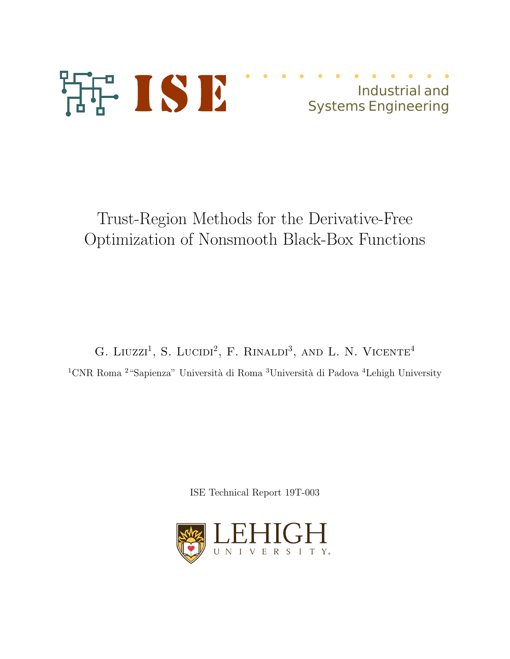

# Industrial and Systems Engineering

Trust-Region Methods for the Derivative-Free Optimization of Nonsmooth Black-Box Functions

G. LIUZZI<sup>1</sup>, S. LUCIDI<sup>2</sup>, F. RINALDI<sup>3</sup>, AND L. N. VICENTE<sup>4</sup>  $\rm ^1CNR$ Roma $\rm ^2$ "Sapienza" Università di Roma  $\rm ^3Università$  di Padova  $\rm ^4Lehigh$  University

ISE Technical Report 19T-003

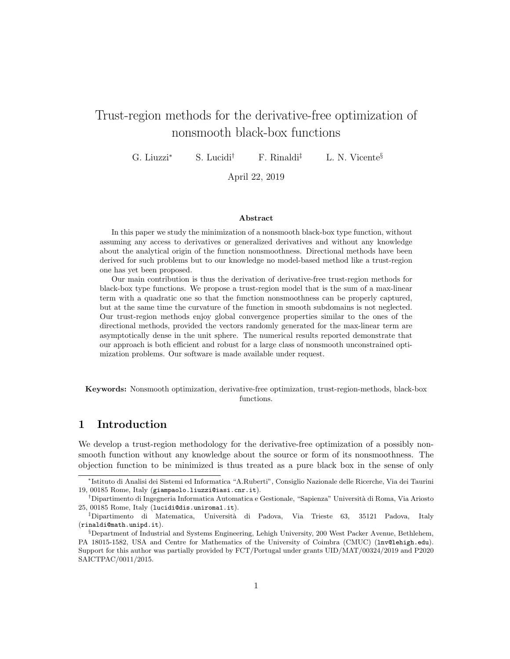# Trust-region methods for the derivative-free optimization of nonsmooth black-box functions

G. Liuzzi<sup>\*</sup> S. Lucidi<sup>†</sup> F. Rinaldi<sup>‡</sup> L. N. Vicente<sup>§</sup>

April 22, 2019

#### Abstract

In this paper we study the minimization of a nonsmooth black-box type function, without assuming any access to derivatives or generalized derivatives and without any knowledge about the analytical origin of the function nonsmoothness. Directional methods have been derived for such problems but to our knowledge no model-based method like a trust-region one has yet been proposed.

Our main contribution is thus the derivation of derivative-free trust-region methods for black-box type functions. We propose a trust-region model that is the sum of a max-linear term with a quadratic one so that the function nonsmoothness can be properly captured, but at the same time the curvature of the function in smooth subdomains is not neglected. Our trust-region methods enjoy global convergence properties similar to the ones of the directional methods, provided the vectors randomly generated for the max-linear term are asymptotically dense in the unit sphere. The numerical results reported demonstrate that our approach is both efficient and robust for a large class of nonsmooth unconstrained optimization problems. Our software is made available under request.

Keywords: Nonsmooth optimization, derivative-free optimization, trust-region-methods, black-box functions.

### 1 Introduction

We develop a trust-region methodology for the derivative-free optimization of a possibly nonsmooth function without any knowledge about the source or form of its nonsmoothness. The objection function to be minimized is thus treated as a pure black box in the sense of only

<sup>∗</sup> Istituto di Analisi dei Sistemi ed Informatica "A.Ruberti", Consiglio Nazionale delle Ricerche, Via dei Taurini 19, 00185 Rome, Italy (giampaolo.liuzzi@iasi.cnr.it).

<sup>†</sup>Dipartimento di Ingegneria Informatica Automatica e Gestionale, "Sapienza" Universit`a di Roma, Via Ariosto 25, 00185 Rome, Italy (lucidi@dis.uniroma1.it).

<sup>‡</sup>Dipartimento di Matematica, Universit`a di Padova, Via Trieste 63, 35121 Padova, Italy (rinaldi@math.unipd.it).

<sup>§</sup>Department of Industrial and Systems Engineering, Lehigh University, 200 West Packer Avenue, Bethlehem, PA 18015-1582, USA and Centre for Mathematics of the University of Coimbra (CMUC) (lnv@lehigh.edu). Support for this author was partially provided by FCT/Portugal under grants UID/MAT/00324/2019 and P2020 SAICTPAC/0011/2015.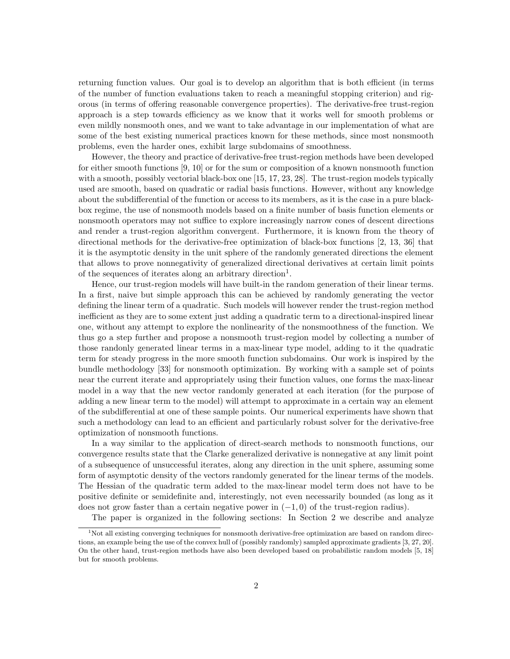returning function values. Our goal is to develop an algorithm that is both efficient (in terms of the number of function evaluations taken to reach a meaningful stopping criterion) and rigorous (in terms of offering reasonable convergence properties). The derivative-free trust-region approach is a step towards efficiency as we know that it works well for smooth problems or even mildly nonsmooth ones, and we want to take advantage in our implementation of what are some of the best existing numerical practices known for these methods, since most nonsmooth problems, even the harder ones, exhibit large subdomains of smoothness.

However, the theory and practice of derivative-free trust-region methods have been developed for either smooth functions  $[9, 10]$  or for the sum or composition of a known nonsmooth function with a smooth, possibly vectorial black-box one [15, 17, 23, 28]. The trust-region models typically used are smooth, based on quadratic or radial basis functions. However, without any knowledge about the subdifferential of the function or access to its members, as it is the case in a pure blackbox regime, the use of nonsmooth models based on a finite number of basis function elements or nonsmooth operators may not suffice to explore increasingly narrow cones of descent directions and render a trust-region algorithm convergent. Furthermore, it is known from the theory of directional methods for the derivative-free optimization of black-box functions [2, 13, 36] that it is the asymptotic density in the unit sphere of the randomly generated directions the element that allows to prove nonnegativity of generalized directional derivatives at certain limit points of the sequences of iterates along an arbitrary direction<sup>1</sup>.

Hence, our trust-region models will have built-in the random generation of their linear terms. In a first, naive but simple approach this can be achieved by randomly generating the vector defining the linear term of a quadratic. Such models will however render the trust-region method inefficient as they are to some extent just adding a quadratic term to a directional-inspired linear one, without any attempt to explore the nonlinearity of the nonsmoothness of the function. We thus go a step further and propose a nonsmooth trust-region model by collecting a number of those randonly generated linear terms in a max-linear type model, adding to it the quadratic term for steady progress in the more smooth function subdomains. Our work is inspired by the bundle methodology [33] for nonsmooth optimization. By working with a sample set of points near the current iterate and appropriately using their function values, one forms the max-linear model in a way that the new vector randomly generated at each iteration (for the purpose of adding a new linear term to the model) will attempt to approximate in a certain way an element of the subdifferential at one of these sample points. Our numerical experiments have shown that such a methodology can lead to an efficient and particularly robust solver for the derivative-free optimization of nonsmooth functions.

In a way similar to the application of direct-search methods to nonsmooth functions, our convergence results state that the Clarke generalized derivative is nonnegative at any limit point of a subsequence of unsuccessful iterates, along any direction in the unit sphere, assuming some form of asymptotic density of the vectors randomly generated for the linear terms of the models. The Hessian of the quadratic term added to the max-linear model term does not have to be positive definite or semidefinite and, interestingly, not even necessarily bounded (as long as it does not grow faster than a certain negative power in  $(-1, 0)$  of the trust-region radius).

The paper is organized in the following sections: In Section 2 we describe and analyze

<sup>&</sup>lt;sup>1</sup>Not all existing converging techniques for nonsmooth derivative-free optimization are based on random directions, an example being the use of the convex hull of (possibly randomly) sampled approximate gradients [3, 27, 20]. On the other hand, trust-region methods have also been developed based on probabilistic random models [5, 18] but for smooth problems.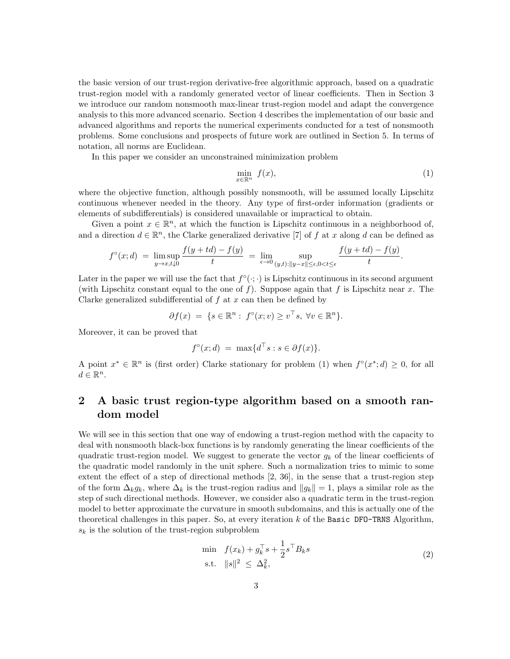the basic version of our trust-region derivative-free algorithmic approach, based on a quadratic trust-region model with a randomly generated vector of linear coefficients. Then in Section 3 we introduce our random nonsmooth max-linear trust-region model and adapt the convergence analysis to this more advanced scenario. Section 4 describes the implementation of our basic and advanced algorithms and reports the numerical experiments conducted for a test of nonsmooth problems. Some conclusions and prospects of future work are outlined in Section 5. In terms of notation, all norms are Euclidean.

In this paper we consider an unconstrained minimization problem

$$
\min_{x \in \mathbb{R}^n} f(x),\tag{1}
$$

where the objective function, although possibly nonsmooth, will be assumed locally Lipschitz continuous whenever needed in the theory. Any type of first-order information (gradients or elements of subdifferentials) is considered unavailable or impractical to obtain.

Given a point  $x \in \mathbb{R}^n$ , at which the function is Lipschitz continuous in a neighborhood of, and a direction  $d \in \mathbb{R}^n$ , the Clarke generalized derivative [7] of f at x along d can be defined as

$$
f^{\circ}(x;d) = \limsup_{y \to x, t \downarrow 0} \frac{f(y+td) - f(y)}{t} = \lim_{\epsilon \to 0} \sup_{(y,t): \|y-x\| \le \epsilon, 0 < t \le \epsilon} \frac{f(y+td) - f(y)}{t}.
$$

Later in the paper we will use the fact that  $f^{\circ}(\cdot;\cdot)$  is Lipschitz continuous in its second argument (with Lipschitz constant equal to the one of f). Suppose again that f is Lipschitz near x. The Clarke generalized subdifferential of  $f$  at  $x$  can then be defined by

$$
\partial f(x) = \{ s \in \mathbb{R}^n : f^{\circ}(x; v) \ge v^{\top} s, \forall v \in \mathbb{R}^n \}.
$$

Moreover, it can be proved that

$$
f^{\circ}(x; d) = \max\{d^{\top} s : s \in \partial f(x)\}.
$$

A point  $x^* \in \mathbb{R}^n$  is (first order) Clarke stationary for problem (1) when  $f^{\circ}(x^*; d) \geq 0$ , for all  $d \in \mathbb{R}^n$ .

## 2 A basic trust region-type algorithm based on a smooth random model

We will see in this section that one way of endowing a trust-region method with the capacity to deal with nonsmooth black-box functions is by randomly generating the linear coefficients of the quadratic trust-region model. We suggest to generate the vector  $g_k$  of the linear coefficients of the quadratic model randomly in the unit sphere. Such a normalization tries to mimic to some extent the effect of a step of directional methods [2, 36], in the sense that a trust-region step of the form  $\Delta_k g_k$ , where  $\Delta_k$  is the trust-region radius and  $||g_k|| = 1$ , plays a similar role as the step of such directional methods. However, we consider also a quadratic term in the trust-region model to better approximate the curvature in smooth subdomains, and this is actually one of the theoretical challenges in this paper. So, at every iteration  $k$  of the Basic DFO-TRNS Algorithm,  $s_k$  is the solution of the trust-region subproblem

$$
\begin{aligned}\n\min \quad & f(x_k) + g_k^\top s + \frac{1}{2} s^\top B_k s \\
\text{s.t.} \quad & \|s\|^2 \le \Delta_k^2,\n\end{aligned}\n\tag{2}
$$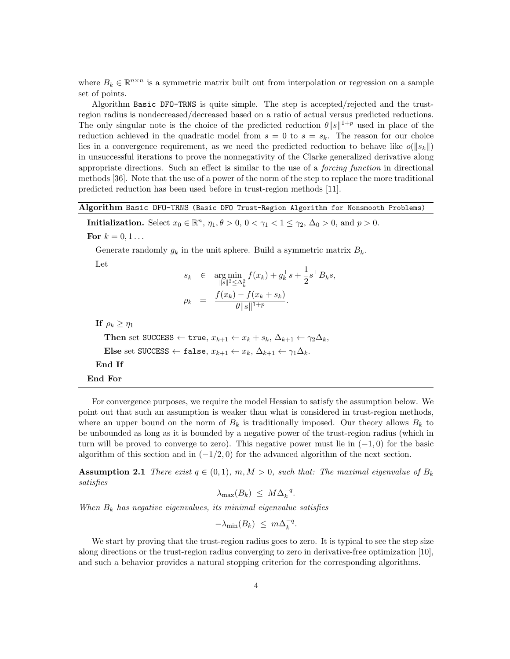where  $B_k \in \mathbb{R}^{n \times n}$  is a symmetric matrix built out from interpolation or regression on a sample set of points.

Algorithm Basic DFO-TRNS is quite simple. The step is accepted/rejected and the trustregion radius is nondecreased/decreased based on a ratio of actual versus predicted reductions. The only singular note is the choice of the predicted reduction  $\theta ||s||^{1+p}$  used in place of the reduction achieved in the quadratic model from  $s = 0$  to  $s = s_k$ . The reason for our choice lies in a convergence requirement, as we need the predicted reduction to behave like  $o(||s_k||)$ in unsuccessful iterations to prove the nonnegativity of the Clarke generalized derivative along appropriate directions. Such an effect is similar to the use of a forcing function in directional methods [36]. Note that the use of a power of the norm of the step to replace the more traditional predicted reduction has been used before in trust-region methods [11].

Algorithm Basic DFO-TRNS (Basic DFO Trust-Region Algorithm for Nonsmooth Problems)

**Initialization.** Select  $x_0 \in \mathbb{R}^n$ ,  $\eta_1, \theta > 0$ ,  $0 < \gamma_1 < 1 \le \gamma_2$ ,  $\Delta_0 > 0$ , and  $p > 0$ . For  $k = 0, 1...$ 

Generate randomly  $g_k$  in the unit sphere. Build a symmetric matrix  $B_k$ .

Let

$$
s_k \in \underset{\|s\|^2 \leq \Delta_k^2}{\arg \min} f(x_k) + g_k^\top s + \frac{1}{2} s^\top B_k s,
$$
  

$$
\rho_k \ = \ \frac{f(x_k) - f(x_k + s_k)}{\theta \|s\|^{1+p}}.
$$

If  $\rho_k \geq \eta_1$ Then set SUCCESS ← true,  $x_{k+1} \leftarrow x_k + s_k$ ,  $\Delta_{k+1} \leftarrow \gamma_2 \Delta_k$ , Else set SUCCESS ← false,  $x_{k+1} \leftarrow x_k$ ,  $\Delta_{k+1} \leftarrow \gamma_1 \Delta_k$ . End If End For

For convergence purposes, we require the model Hessian to satisfy the assumption below. We point out that such an assumption is weaker than what is considered in trust-region methods, where an upper bound on the norm of  $B_k$  is traditionally imposed. Our theory allows  $B_k$  to be unbounded as long as it is bounded by a negative power of the trust-region radius (which in turn will be proved to converge to zero). This negative power must lie in  $(-1,0)$  for the basic algorithm of this section and in  $(-1/2, 0)$  for the advanced algorithm of the next section.

**Assumption 2.1** There exist  $q \in (0, 1)$ ,  $m, M > 0$ , such that: The maximal eigenvalue of  $B_k$ satisfies

$$
\lambda_{\max}(B_k) \leq M \Delta_k^{-q}.
$$

When  $B_k$  has negative eigenvalues, its minimal eigenvalue satisfies

$$
-\lambda_{\min}(B_k) \leq m\Delta_k^{-q}.
$$

We start by proving that the trust-region radius goes to zero. It is typical to see the step size along directions or the trust-region radius converging to zero in derivative-free optimization [10], and such a behavior provides a natural stopping criterion for the corresponding algorithms.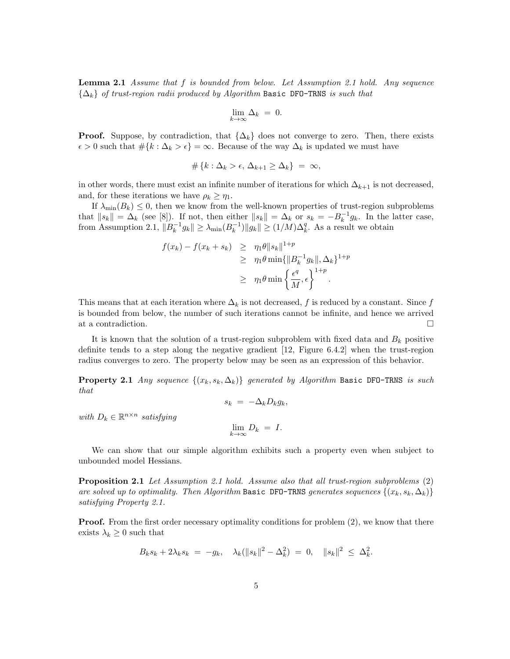**Lemma 2.1** Assume that  $f$  is bounded from below. Let Assumption 2.1 hold. Any sequence  $\{\Delta_k\}$  of trust-region radii produced by Algorithm Basic DFO-TRNS is such that

$$
\lim_{k \to \infty} \Delta_k = 0.
$$

**Proof.** Suppose, by contradiction, that  $\{\Delta_k\}$  does not converge to zero. Then, there exists  $\epsilon > 0$  such that  $\#\{k : \Delta_k > \epsilon\} = \infty$ . Because of the way  $\Delta_k$  is updated we must have

$$
\#\left\{k:\Delta_k > \epsilon,\, \Delta_{k+1} \geq \Delta_k\right\} \,=\, \infty,
$$

in other words, there must exist an infinite number of iterations for which  $\Delta_{k+1}$  is not decreased, and, for these iterations we have  $\rho_k \geq \eta_1$ .

If  $\lambda_{\min}(B_k) \leq 0$ , then we know from the well-known properties of trust-region subproblems that  $||s_k|| = \Delta_k$  (see [8]). If not, then either  $||s_k|| = \Delta_k$  or  $s_k = -B_k^{-1}g_k$ . In the latter case, from Assumption 2.1,  $||B_k^{-1}g_k|| \geq \lambda_{\min}(B_k^{-1})||g_k|| \geq (1/M)\Delta_k^q$ . As a result we obtain

$$
f(x_k) - f(x_k + s_k) \geq \eta_1 \theta \|s_k\|^{1+p}
$$
  
\n
$$
\geq \eta_1 \theta \min \{ \|B_k^{-1} g_k\|, \Delta_k \}^{1+p}
$$
  
\n
$$
\geq \eta_1 \theta \min \{ \frac{\epsilon^q}{M}, \epsilon \}^{1+p}.
$$

This means that at each iteration where  $\Delta_k$  is not decreased, f is reduced by a constant. Since f is bounded from below, the number of such iterations cannot be infinite, and hence we arrived at a contradiction.

It is known that the solution of a trust-region subproblem with fixed data and  $B_k$  positive definite tends to a step along the negative gradient [12, Figure 6.4.2] when the trust-region radius converges to zero. The property below may be seen as an expression of this behavior.

**Property 2.1** Any sequence  $\{(x_k, s_k, \Delta_k)\}\$  generated by Algorithm Basic DFO-TRNS is such that

$$
s_k = -\Delta_k D_k g_k,
$$

with  $D_k \in \mathbb{R}^{n \times n}$  satisfying

$$
\lim_{k \to \infty} D_k = I.
$$

We can show that our simple algorithm exhibits such a property even when subject to unbounded model Hessians.

Proposition 2.1 Let Assumption 2.1 hold. Assume also that all trust-region subproblems (2) are solved up to optimality. Then Algorithm Basic DFO-TRNS generates sequences  $\{(x_k, s_k, \Delta_k)\}$ satisfying Property 2.1.

**Proof.** From the first order necessary optimality conditions for problem (2), we know that there exists  $\lambda_k \geq 0$  such that

$$
B_k s_k + 2\lambda_k s_k = -g_k, \quad \lambda_k(\|s_k\|^2 - \Delta_k^2) = 0, \quad \|s_k\|^2 \leq \Delta_k^2.
$$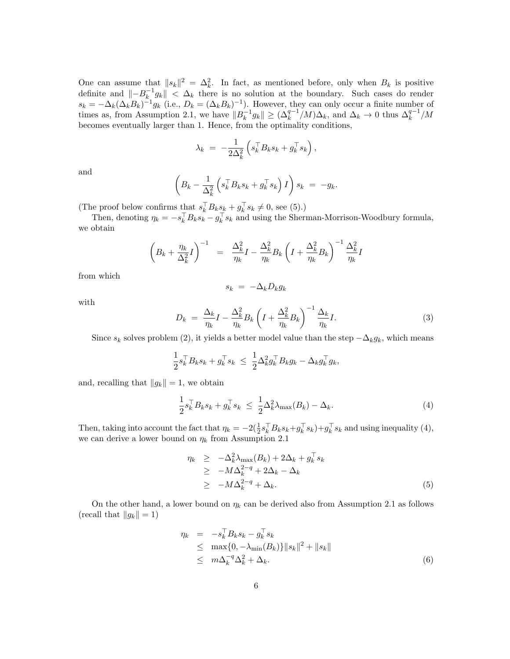One can assume that  $||s_k||^2 = \Delta_k^2$ . In fact, as mentioned before, only when  $B_k$  is positive definite and  $\| - B_k^{-1} g_k \| < \Delta_k$  there is no solution at the boundary. Such cases do render  $s_k = -\Delta_k(\Delta_k B_k)^{-1}g_k$  (i.e.,  $D_k = (\Delta_k B_k)^{-1}$ ). However, they can only occur a finite number of times as, from Assumption 2.1, we have  $||B_k^{-1}g_k|| \geq (\Delta_k^{q-1}/M)\Delta_k$ , and  $\Delta_k \to 0$  thus  $\Delta_k^{q-1}/M$ becomes eventually larger than 1. Hence, from the optimality conditions,

$$
\lambda_k = -\frac{1}{2\Delta_k^2} \left( s_k^\top B_k s_k + g_k^\top s_k \right),
$$

and

$$
\left(B_k - \frac{1}{\Delta_k^2} \left(s_k^\top B_k s_k + g_k^\top s_k\right) I\right) s_k = -g_k.
$$

(The proof below confirms that  $s_k^{\dagger} B_k s_k + g_k^{\dagger} s_k \neq 0$ , see (5).)

Then, denoting  $\eta_k = -s_k^{\dagger} B_k s_k - g_k^{\dagger} s_k$  and using the Sherman-Morrison-Woodbury formula, we obtain

$$
\left(B_k + \frac{\eta_k}{\Delta_k^2}I\right)^{-1} = \frac{\Delta_k^2}{\eta_k}I - \frac{\Delta_k^2}{\eta_k}B_k\left(I + \frac{\Delta_k^2}{\eta_k}B_k\right)^{-1}\frac{\Delta_k^2}{\eta_k}I
$$

from which

$$
s_k = -\Delta_k D_k g_k
$$

with

$$
D_k = \frac{\Delta_k}{\eta_k} I - \frac{\Delta_k^2}{\eta_k} B_k \left( I + \frac{\Delta_k^2}{\eta_k} B_k \right)^{-1} \frac{\Delta_k}{\eta_k} I. \tag{3}
$$

Since  $s_k$  solves problem (2), it yields a better model value than the step  $-\Delta_k g_k$ , which means

$$
\frac{1}{2} s_k^\top B_k s_k + g_k^\top s_k \leq \frac{1}{2} \Delta_k^2 g_k^\top B_k g_k - \Delta_k g_k^\top g_k,
$$

and, recalling that  $||g_k|| = 1$ , we obtain

$$
\frac{1}{2} s_k^\top B_k s_k + g_k^\top s_k \le \frac{1}{2} \Delta_k^2 \lambda_{\max}(B_k) - \Delta_k. \tag{4}
$$

Then, taking into account the fact that  $\eta_k = -2(\frac{1}{2}s_k^{\top}B_ks_k+g_k^{\top} s_k)+g_k^{\top} s_k$  and using inequality (4), we can derive a lower bound on  $\eta_k$  from Assumption 2.1

$$
\eta_k \geq -\Delta_k^2 \lambda_{\max}(B_k) + 2\Delta_k + g_k^{\top} s_k
$$
  
\n
$$
\geq -M \Delta_k^{2-q} + 2\Delta_k - \Delta_k
$$
  
\n
$$
\geq -M \Delta_k^{2-q} + \Delta_k.
$$
\n(5)

On the other hand, a lower bound on  $\eta_k$  can be derived also from Assumption 2.1 as follows (recall that  $||g_k|| = 1$ )

$$
\eta_k = -s_k^\top B_k s_k - g_k^\top s_k
$$
  
\n
$$
\leq \max\{0, -\lambda_{\min}(B_k)\} \|s_k\|^2 + \|s_k\|
$$
  
\n
$$
\leq m \Delta_k^{-q} \Delta_k^2 + \Delta_k.
$$
 (6)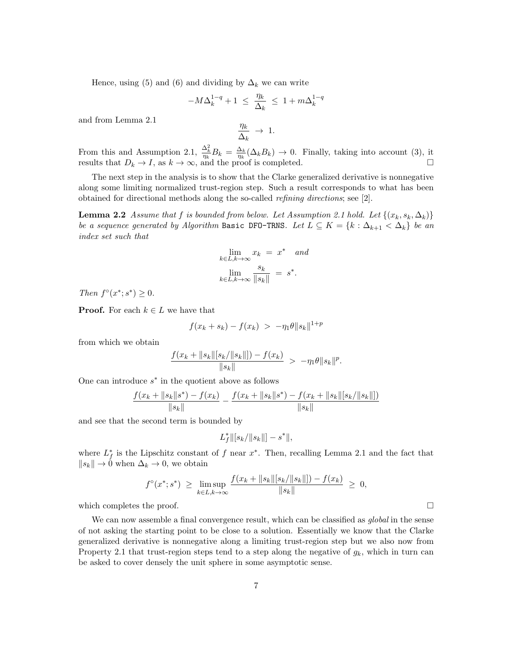Hence, using (5) and (6) and dividing by  $\Delta_k$  we can write

$$
-M\Delta_k^{1-q}+1 \ \leq \ \frac{\eta_k}{\Delta_k} \ \leq \ 1 + m\Delta_k^{1-q}
$$

and from Lemma 2.1

$$
\frac{\eta_k}{\Delta_k} \ \to \ 1.
$$

From this and Assumption 2.1,  $\frac{\Delta_k^2}{\eta_k} B_k = \frac{\Delta_k}{\eta_k}$  $\frac{\Delta_k}{\eta_k}(\Delta_k B_k) \to 0$ . Finally, taking into account (3), it results that  $D_k \to I$ , as  $k \to \infty$ , and the proof is completed.

The next step in the analysis is to show that the Clarke generalized derivative is nonnegative along some limiting normalized trust-region step. Such a result corresponds to what has been obtained for directional methods along the so-called refining directions; see [2].

**Lemma 2.2** Assume that f is bounded from below. Let Assumption 2.1 hold. Let  $\{(x_k, s_k, \Delta_k)\}$ be a sequence generated by Algorithm Basic DFO-TRNS. Let  $L \subseteq K = \{k : \Delta_{k+1} < \Delta_k\}$  be an index set such that

$$
\lim_{k \in L, k \to \infty} x_k = x^* \quad and
$$

$$
\lim_{k \in L, k \to \infty} \frac{s_k}{\|s_k\|} = s^*.
$$

Then  $f^{\circ}(x^*; s^*) \geq 0$ .

**Proof.** For each  $k \in L$  we have that

$$
f(x_k + s_k) - f(x_k) > -\eta_1 \theta \|s_k\|^{1+p}
$$

from which we obtain

$$
\frac{f(x_k + \|s_k\|[s_k/\|s_k\|]) - f(x_k)}{\|s_k\|} > -\eta_1\theta\|s_k\|^p.
$$

One can introduce  $s^*$  in the quotient above as follows

$$
\frac{f(x_k + \|s_k\|s^*) - f(x_k)}{\|s_k\|} - \frac{f(x_k + \|s_k\|s^*) - f(x_k + \|s_k\|s_k/\|s_k\|)}{\|s_k\|}
$$

and see that the second term is bounded by

$$
L_f^* \|[s_k/\|s_k\|] - s^*\|,
$$

where  $L_f^*$  is the Lipschitz constant of f near  $x^*$ . Then, recalling Lemma 2.1 and the fact that  $||s_k|| \to 0$  when  $\Delta_k \to 0$ , we obtain

$$
f^{\circ}(x^*; s^*) \geq \limsup_{k \in L, k \to \infty} \frac{f(x_k + \|s_k\| [s_k/\|s_k\|]) - f(x_k)}{\|s_k\|} \geq 0,
$$

which completes the proof.  $\square$ 

We can now assemble a final convergence result, which can be classified as *global* in the sense of not asking the starting point to be close to a solution. Essentially we know that the Clarke generalized derivative is nonnegative along a limiting trust-region step but we also now from Property 2.1 that trust-region steps tend to a step along the negative of  $g_k$ , which in turn can be asked to cover densely the unit sphere in some asymptotic sense.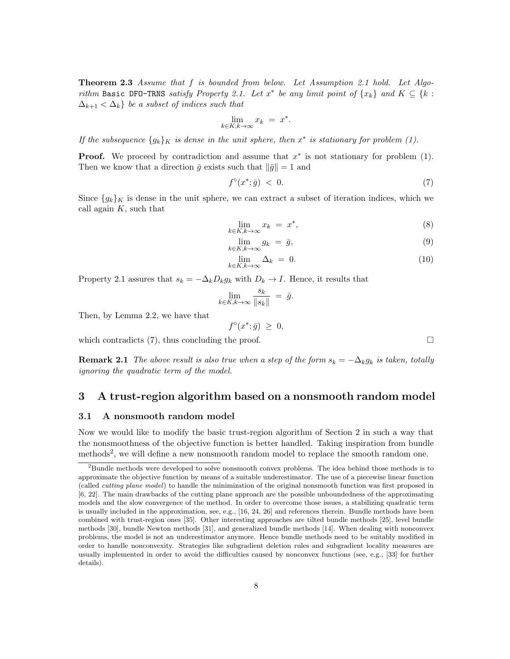**Theorem 2.3** Assume that  $f$  is bounded from below. Let Assumption 2.1 hold. Let Algorithm Basic DFO-TRNS satisfy Property 2.1. Let  $x^*$  be any limit point of  $\{x_k\}$  and  $K \subseteq \{k :$  $\Delta_{k+1} < \Delta_k$  be a subset of indices such that

$$
\lim_{k \in K, k \to \infty} x_k = x^*
$$

.

If the subsequence  $\{g_k\}_K$  is dense in the unit sphere, then  $x^*$  is stationary for problem (1).

**Proof.** We proceed by contradiction and assume that  $x^*$  is not stationary for problem (1). Then we know that a direction  $\bar{q}$  exists such that  $\|\bar{q}\|=1$  and

$$
f^{\circ}(x^*; \bar{g}) \leq 0. \tag{7}
$$

Since  $\{g_k\}_K$  is dense in the unit sphere, we can extract a subset of iteration indices, which we call again  $K$ , such that

$$
\lim_{k \in K, k \to \infty} x_k = x^*,\tag{8}
$$

$$
\lim_{k \in K, k \to \infty} g_k = \bar{g},\tag{9}
$$

$$
\lim_{k \in K, k \to \infty} \Delta_k = 0. \tag{10}
$$

Property 2.1 assures that  $s_k = -\Delta_k D_k g_k$  with  $D_k \to I$ . Hence, it results that

$$
\lim_{k \in K, k \to \infty} \frac{s_k}{\|s_k\|} = \bar{g}.
$$

 $f^{\circ}(x^*; \bar{g}) \geq 0,$ 

Then, by Lemma 2.2, we have that

which contradicts (7), thus concluding the proof.  $\Box$ 

**Remark 2.1** The above result is also true when a step of the form  $s_k = -\Delta_k g_k$  is taken, totally ignoring the quadratic term of the model.

#### 3 A trust-region algorithm based on a nonsmooth random model

#### 3.1 A nonsmooth random model

Now we would like to modify the basic trust-region algorithm of Section 2 in such a way that the nonsmoothness of the objective function is better handled. Taking inspiration from bundle methods<sup>2</sup>, we will define a new nonsmooth random model to replace the smooth random one.

 $2B$ undle methods were developed to solve nonsmooth convex problems. The idea behind those methods is to approximate the objective function by means of a suitable underestimator. The use of a piecewise linear function (called cutting plane model) to handle the minimization of the original nonsmooth function was first proposed in [6, 22]. The main drawbacks of the cutting plane approach are the possible unboundedness of the approximating models and the slow convergence of the method. In order to overcome those issues, a stabilizing quadratic term is usually included in the approximation, see, e.g., [16, 24, 26] and references therein. Bundle methods have been combined with trust-region ones [35]. Other interesting approaches are tilted bundle methods [25], level bundle methods [30], bundle Newton methods [31], and generalized bundle methods [14]. When dealing with nonconvex problems, the model is not an underestimator anymore. Hence bundle methods need to be suitably modified in order to handle nonconvexity. Strategies like subgradient deletion rules and subgradient locality measures are usually implemented in order to avoid the difficulties caused by nonconvex functions (see, e.g., [33] for further details).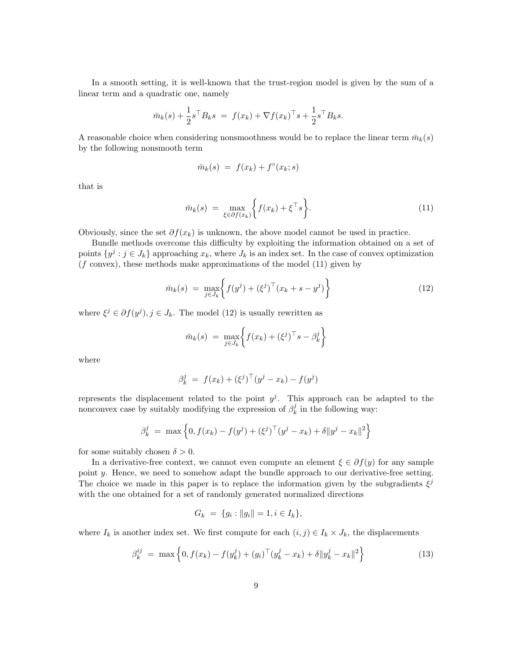In a smooth setting, it is well-known that the trust-region model is given by the sum of a linear term and a quadratic one, namely

$$
\bar{m}_k(s) + \frac{1}{2}s^{\top}B_ks = f(x_k) + \nabla f(x_k)^{\top} s + \frac{1}{2}s^{\top}B_ks.
$$

A reasonable choice when considering nonsmoothness would be to replace the linear term  $\bar{m}_k(s)$ by the following nonsmooth term

$$
\bar{m}_k(s) = f(x_k) + f^{\circ}(x_k; s)
$$

that is

$$
\bar{m}_k(s) = \max_{\xi \in \partial f(x_k)} \left\{ f(x_k) + \xi^{\top} s \right\}.
$$
\n(11)

Obviously, since the set  $\partial f(x_k)$  is unknown, the above model cannot be used in practice.

Bundle methods overcome this difficulty by exploiting the information obtained on a set of points  $\{y^j : j \in J_k\}$  approaching  $x_k$ , where  $J_k$  is an index set. In the case of convex optimization  $(f \text{ convex})$ , these methods make approximations of the model  $(11)$  given by

$$
\bar{m}_k(s) = \max_{j \in J_k} \left\{ f(y^j) + (\xi^j)^\top (x_k + s - y^j) \right\} \tag{12}
$$

where  $\xi^j \in \partial f(y^j), j \in J_k$ . The model (12) is usually rewritten as

$$
\bar{m}_k(s) = \max_{j \in J_k} \bigg\{ f(x_k) + (\xi^j)^\top s - \beta_k^j \bigg\}
$$

where

$$
\beta_k^j = f(x_k) + (\xi^j)^\top (y^j - x_k) - f(y^j)
$$

represents the displacement related to the point  $y^j$ . This approach can be adapted to the nonconvex case by suitably modifying the expression of  $\beta_k^j$  $\frac{J}{k}$  in the following way:

$$
\beta_k^j = \max \left\{ 0, f(x_k) - f(y^j) + (\xi^j)^\top (y^j - x_k) + \delta \|y^j - x_k\|^2 \right\}
$$

for some suitably chosen  $\delta > 0$ .

In a derivative-free context, we cannot even compute an element  $\xi \in \partial f(y)$  for any sample point y. Hence, we need to somehow adapt the bundle approach to our derivative-free setting. The choice we made in this paper is to replace the information given by the subgradients  $\xi^j$ with the one obtained for a set of randomly generated normalized directions

$$
G_k = \{g_i : ||g_i|| = 1, i \in I_k\},\
$$

where  $I_k$  is another index set. We first compute for each  $(i, j) \in I_k \times J_k$ , the displacements

$$
\beta_k^{ij} = \max \left\{ 0, f(x_k) - f(y_k^j) + (g_i)^\top (y_k^j - x_k) + \delta \| y_k^j - x_k \|^2 \right\}
$$
(13)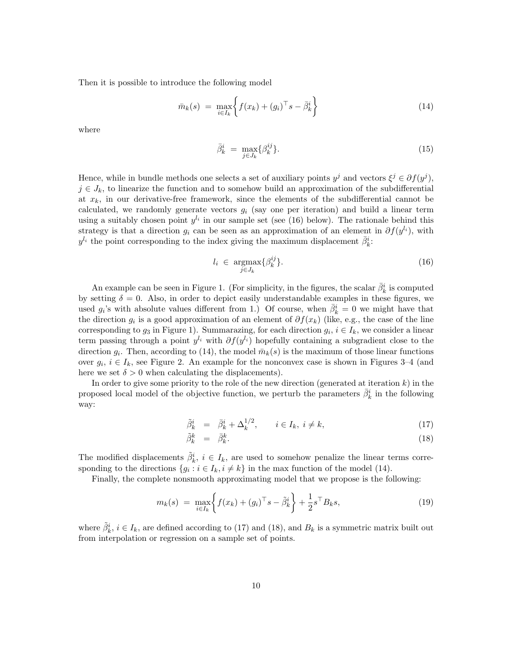Then it is possible to introduce the following model

$$
\bar{m}_k(s) = \max_{i \in I_k} \left\{ f(x_k) + (g_i)^\top s - \bar{\beta}_k^i \right\} \tag{14}
$$

where

$$
\bar{\beta}_k^i = \max_{j \in J_k} {\{\beta_k^{ij}\}}.
$$
\n(15)

Hence, while in bundle methods one selects a set of auxiliary points  $y^j$  and vectors  $\xi^j \in \partial f(y^j)$ ,  $j \in J_k$ , to linearize the function and to somehow build an approximation of the subdifferential at  $x_k$ , in our derivative-free framework, since the elements of the subdifferential cannot be calculated, we randomly generate vectors  $g_i$  (say one per iteration) and build a linear term using a suitably chosen point  $y^{l_i}$  in our sample set (see (16) below). The rationale behind this strategy is that a direction  $g_i$  can be seen as an approximation of an element in  $\partial f(y^{l_i})$ , with  $y^{l_i}$  the point corresponding to the index giving the maximum displacement  $\bar{\beta}_k^i$ :

$$
l_i \in \underset{j \in J_k}{\operatorname{argmax}} \{ \beta_k^{ij} \}. \tag{16}
$$

An example can be seen in Figure 1. (For simplicity, in the figures, the scalar  $\bar{\beta}_k^i$  is computed by setting  $\delta = 0$ . Also, in order to depict easily understandable examples in these figures, we used  $g_i$ 's with absolute values different from 1.) Of course, when  $\bar{\beta}_k^i = 0$  we might have that the direction  $g_i$  is a good approximation of an element of  $\partial f(x_k)$  (like, e.g., the case of the line corresponding to  $g_3$  in Figure 1). Summarazing, for each direction  $g_i, i \in I_k$ , we consider a linear term passing through a point  $y^{l_i}$  with  $\partial f(y^{l_i})$  hopefully containing a subgradient close to the direction  $g_i$ . Then, according to (14), the model  $\bar{m}_k(s)$  is the maximum of those linear functions over  $g_i, i \in I_k$ , see Figure 2. An example for the nonconvex case is shown in Figures 3–4 (and here we set  $\delta > 0$  when calculating the displacements).

In order to give some priority to the role of the new direction (generated at iteration  $k$ ) in the proposed local model of the objective function, we perturb the parameters  $\bar{\beta}_k^i$  in the following way:

$$
\tilde{\beta}_k^i = \bar{\beta}_k^i + \Delta_k^{1/2}, \qquad i \in I_k, \ i \neq k,
$$
\n
$$
(17)
$$

$$
\tilde{\beta}_k^k = \bar{\beta}_k^k. \tag{18}
$$

The modified displacements  $\tilde{\beta}_k^i$ ,  $i \in I_k$ , are used to somehow penalize the linear terms corresponding to the directions  $\{g_i : i \in I_k, i \neq k\}$  in the max function of the model (14).

Finally, the complete nonsmooth approximating model that we propose is the following:

$$
m_k(s) = \max_{i \in I_k} \left\{ f(x_k) + (g_i)^\top s - \tilde{\beta}_k^i \right\} + \frac{1}{2} s^\top B_k s,
$$
\n(19)

where  $\tilde{\beta}_k^i$ ,  $i \in I_k$ , are defined according to (17) and (18), and  $B_k$  is a symmetric matrix built out from interpolation or regression on a sample set of points.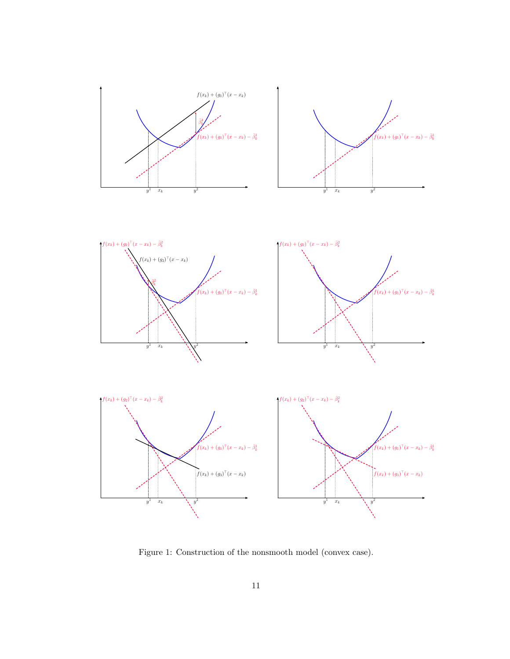

Figure 1: Construction of the nonsmooth model (convex case).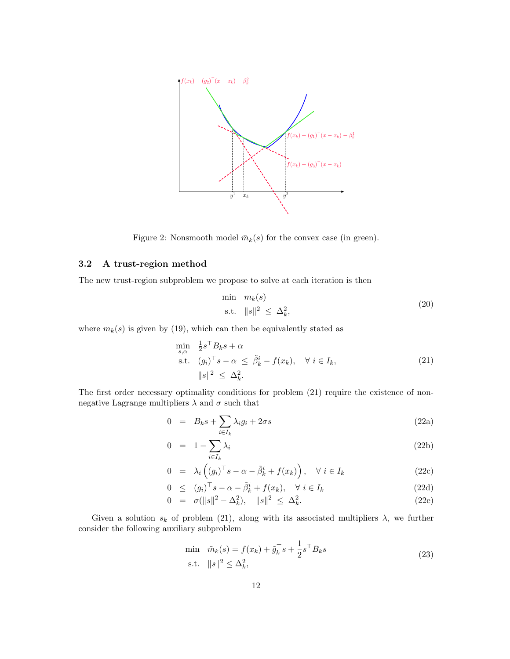

Figure 2: Nonsmooth model  $\bar{m}_k(s)$  for the convex case (in green).

#### 3.2 A trust-region method

The new trust-region subproblem we propose to solve at each iteration is then

$$
\min_{\mathbf{S} \in \mathbb{R}^2} m_k(s) \n\text{s.t. } ||s||^2 \leq \Delta_k^2,
$$
\n(20)

where  $m_k(s)$  is given by (19), which can then be equivalently stated as

$$
\min_{s,\alpha} \quad \frac{1}{2}s^{\top}B_{k}s + \alpha
$$
\n
$$
\text{s.t.} \quad (g_{i})^{\top}s - \alpha \leq \tilde{\beta}_{k}^{i} - f(x_{k}), \quad \forall \ i \in I_{k},
$$
\n
$$
\|s\|^{2} \leq \Delta_{k}^{2}.
$$
\n
$$
(21)
$$

The first order necessary optimality conditions for problem  $(21)$  require the existence of nonnegative Lagrange multipliers  $\lambda$  and  $\sigma$  such that

$$
0 = B_k s + \sum_{i \in I_k} \lambda_i g_i + 2\sigma s \tag{22a}
$$

$$
0 = 1 - \sum_{i \in I_k} \lambda_i \tag{22b}
$$

$$
0 = \lambda_i \left( (g_i)^\top s - \alpha - \tilde{\beta}_k^i + f(x_k) \right), \quad \forall \ i \in I_k \tag{22c}
$$

$$
0 \le (g_i)^{\top} s - \alpha - \tilde{\beta}_k^i + f(x_k), \quad \forall \ i \in I_k \tag{22d}
$$

$$
0 = \sigma(||s||^2 - \Delta_k^2), \quad ||s||^2 \le \Delta_k^2. \tag{22e}
$$

Given a solution  $s_k$  of problem (21), along with its associated multipliers  $\lambda$ , we further consider the following auxiliary subproblem

$$
\min \quad \tilde{m}_k(s) = f(x_k) + \tilde{g}_k^{\top} s + \frac{1}{2} s^{\top} B_k s \n\text{s.t.} \quad ||s||^2 \le \Delta_k^2,
$$
\n(23)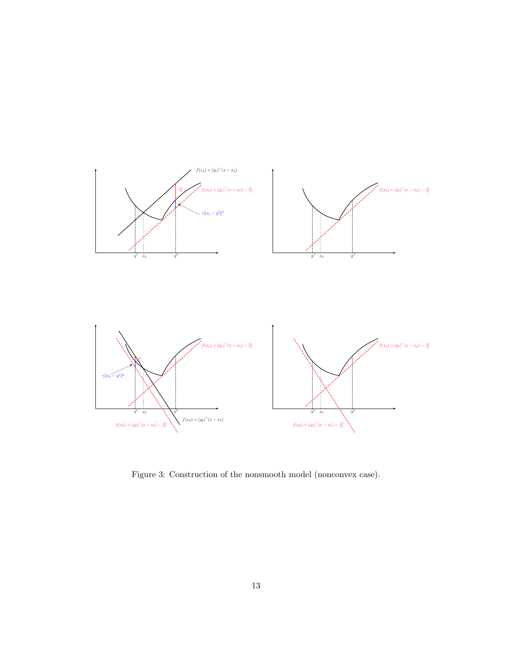

Figure 3: Construction of the nonsmooth model (nonconvex case).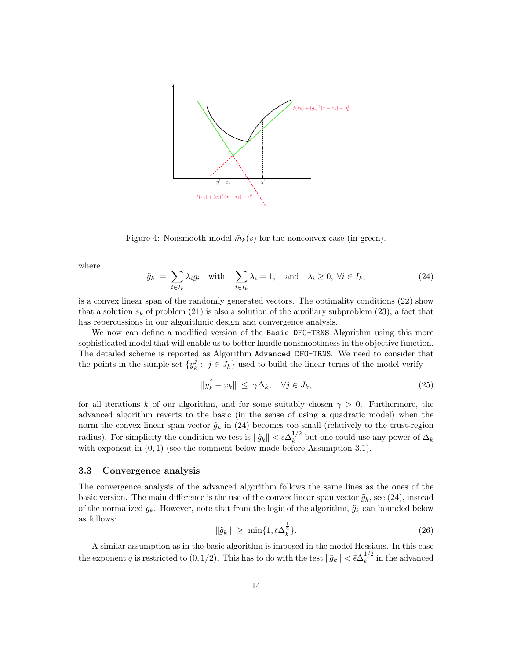

Figure 4: Nonsmooth model  $\bar{m}_k(s)$  for the nonconvex case (in green).

where

$$
\tilde{g}_k = \sum_{i \in I_k} \lambda_i g_i \quad \text{with} \quad \sum_{i \in I_k} \lambda_i = 1, \quad \text{and} \quad \lambda_i \ge 0, \ \forall i \in I_k,\tag{24}
$$

is a convex linear span of the randomly generated vectors. The optimality conditions (22) show that a solution  $s_k$  of problem (21) is also a solution of the auxiliary subproblem (23), a fact that has repercussions in our algorithmic design and convergence analysis.

We now can define a modified version of the Basic DFO-TRNS Algorithm using this more sophisticated model that will enable us to better handle nonsmoothness in the objective function. The detailed scheme is reported as Algorithm Advanced DFO-TRNS. We need to consider that the points in the sample set  $\{y_k^j\}$  $k<sup>j</sup>$ :  $j \in J_k$  used to build the linear terms of the model verify

$$
||y_k^j - x_k|| \le \gamma \Delta_k, \quad \forall j \in J_k,
$$
\n(25)

for all iterations k of our algorithm, and for some suitably chosen  $\gamma > 0$ . Furthermore, the advanced algorithm reverts to the basic (in the sense of using a quadratic model) when the norm the convex linear span vector  $\tilde{g}_k$  in (24) becomes too small (relatively to the trust-region radius). For simplicity the condition we test is  $\|\tilde{g}_k\| < \bar{\epsilon} \Delta_k^{1/2}$  $\lambda_k^{1/2}$  but one could use any power of  $\Delta_k$ with exponent in  $(0, 1)$  (see the comment below made before Assumption 3.1).

#### 3.3 Convergence analysis

The convergence analysis of the advanced algorithm follows the same lines as the ones of the basic version. The main difference is the use of the convex linear span vector  $\tilde{g}_k$ , see (24), instead of the normalized  $g_k$ . However, note that from the logic of the algorithm,  $\tilde{g}_k$  can bounded below as follows: 1

$$
\|\tilde{g}_k\| \ge \min\{1, \bar{\epsilon}\Delta_k^{\frac{1}{2}}\}.\tag{26}
$$

A similar assumption as in the basic algorithm is imposed in the model Hessians. In this case the exponent q is restricted to  $(0, 1/2)$ . This has to do with the test  $\|\tilde{g}_k\| < \bar{\epsilon} \Delta_k^{1/2}$  $\frac{1}{k}$  in the advanced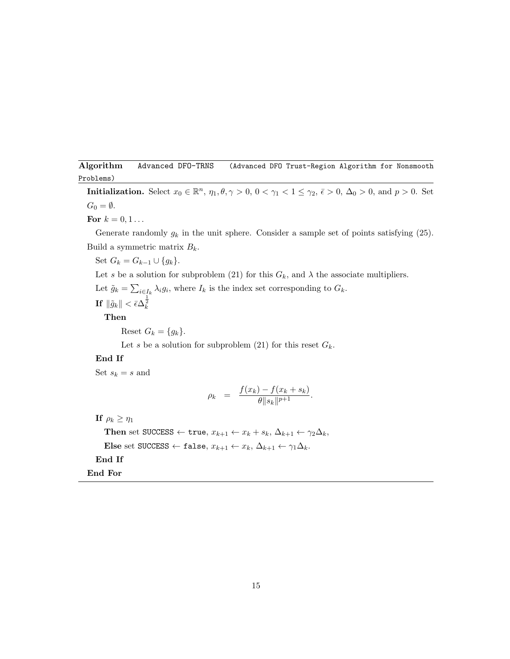Algorithm Advanced DFO-TRNS (Advanced DFO Trust-Region Algorithm for Nonsmooth Problems)

**Initialization.** Select  $x_0 \in \mathbb{R}^n$ ,  $\eta_1, \theta, \gamma > 0$ ,  $0 < \gamma_1 < 1 \le \gamma_2$ ,  $\bar{\epsilon} > 0$ ,  $\Delta_0 > 0$ , and  $p > 0$ . Set  $G_0 = \emptyset$ .

For  $k = 0, 1...$ 

Generate randomly  $g_k$  in the unit sphere. Consider a sample set of points satisfying (25). Build a symmetric matrix  $B_k$ .

Set  $G_k = G_{k-1} \cup \{g_k\}.$ 

Let s be a solution for subproblem (21) for this  $G_k$ , and  $\lambda$  the associate multipliers.

Let  $\tilde{g}_k = \sum_{i \in I_k} \lambda_i g_i$ , where  $I_k$  is the index set corresponding to  $G_k$ .

If  $\|\tilde{g}_k\| < \bar{\epsilon} \Delta_k^{\frac{1}{2}}$ 

Then

Reset  $G_k = \{g_k\}.$ 

Let s be a solution for subproblem (21) for this reset  $G_k$ .

#### End If

Set  $s_k = s$  and

$$
\rho_k = \frac{f(x_k) - f(x_k + s_k)}{\theta \|s_k\|^{p+1}}.
$$

If  $\rho_k \geq \eta_1$ 

Then set SUCCESS ← true,  $x_{k+1} \leftarrow x_k + s_k$ ,  $\Delta_{k+1} \leftarrow \gamma_2 \Delta_k$ , Else set SUCCESS ← false,  $x_{k+1} \leftarrow x_k$ ,  $\Delta_{k+1} \leftarrow \gamma_1 \Delta_k$ . End If

End For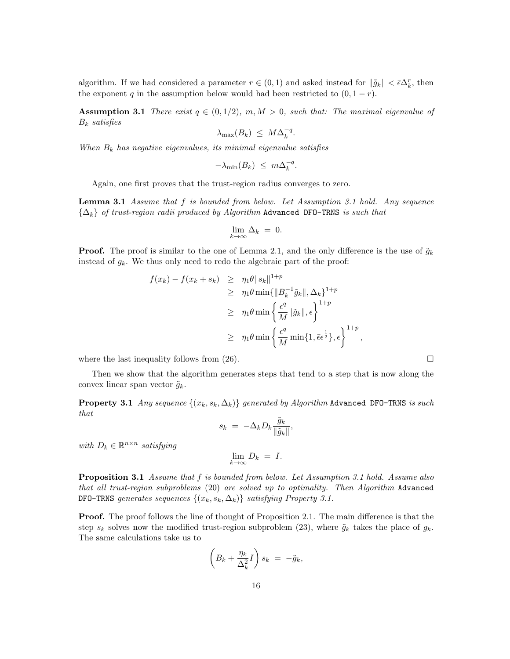algorithm. If we had considered a parameter  $r \in (0,1)$  and asked instead for  $\|\tilde{g}_k\| < \bar{\epsilon} \Delta_k^r$ , then the exponent q in the assumption below would had been restricted to  $(0, 1 - r)$ .

**Assumption 3.1** There exist  $q \in (0, 1/2)$ ,  $m, M > 0$ , such that: The maximal eigenvalue of  $B_k$  satisfies

$$
\lambda_{\max}(B_k) \leq M \Delta_k^{-q}.
$$

When  $B_k$  has negative eigenvalues, its minimal eigenvalue satisfies

$$
-\lambda_{\min}(B_k) \leq m\Delta_k^{-q}.
$$

Again, one first proves that the trust-region radius converges to zero.

**Lemma 3.1** Assume that  $f$  is bounded from below. Let Assumption 3.1 hold. Any sequence  ${\{\Delta_k\}}$  of trust-region radii produced by Algorithm Advanced DFO-TRNS is such that

$$
\lim_{k \to \infty} \Delta_k = 0.
$$

**Proof.** The proof is similar to the one of Lemma 2.1, and the only difference is the use of  $\tilde{g}_k$ instead of  $g_k$ . We thus only need to redo the algebraic part of the proof:

$$
f(x_k) - f(x_k + s_k) \geq \eta_1 \theta \|s_k\|^{1+p}
$$
  
\n
$$
\geq \eta_1 \theta \min\{\|B_k^{-1}\tilde{g}_k\|, \Delta_k\}^{1+p}
$$
  
\n
$$
\geq \eta_1 \theta \min\left\{\frac{\epsilon^q}{M} \|\tilde{g}_k\|, \epsilon\right\}^{1+p}
$$
  
\n
$$
\geq \eta_1 \theta \min\left\{\frac{\epsilon^q}{M} \min\{1, \bar{\epsilon} \epsilon^{\frac{1}{2}}\}, \epsilon\right\}^{1+p},
$$

where the last inequality follows from  $(26)$ .

Then we show that the algorithm generates steps that tend to a step that is now along the convex linear span vector  $\tilde{g}_k$ .

**Property 3.1** Any sequence  $\{(x_k, s_k, \Delta_k)\}\$  generated by Algorithm Advanced DFO-TRNS is such that

$$
s_k = -\Delta_k D_k \frac{\tilde{g}_k}{\|\tilde{g}_k\|},
$$

with  $D_k \in \mathbb{R}^{n \times n}$  satisfying

$$
\lim_{k \to \infty} D_k = I.
$$

Proposition 3.1 Assume that f is bounded from below. Let Assumption 3.1 hold. Assume also that all trust-region subproblems (20) are solved up to optimality. Then Algorithm Advanced DFO-TRNS generates sequences  $\{(x_k, s_k, \Delta_k)\}\$  satisfying Property 3.1.

Proof. The proof follows the line of thought of Proposition 2.1. The main difference is that the step  $s_k$  solves now the modified trust-region subproblem (23), where  $\tilde{g}_k$  takes the place of  $g_k$ . The same calculations take us to

$$
\left(B_k + \frac{\eta_k}{\Delta_k^2}I\right)s_k = -\tilde{g}_k,
$$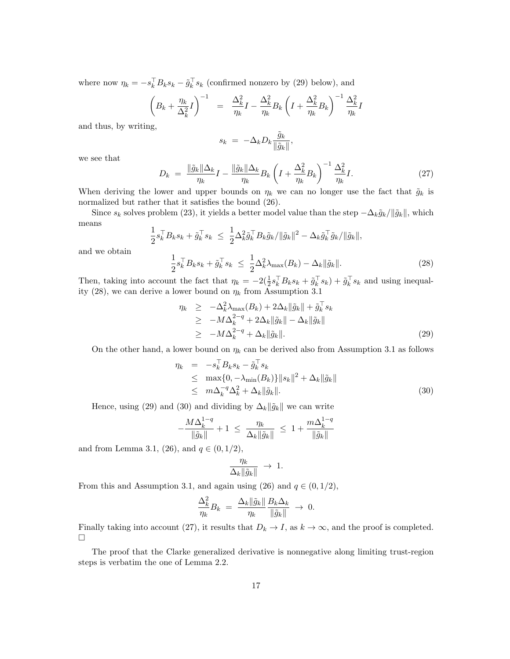where now  $\eta_k = -s_k^{\perp} B_k s_k - \tilde{g}_k^{\perp} s_k$  (confirmed nonzero by (29) below), and

$$
\left(B_k + \frac{\eta_k}{\Delta_k^2}I\right)^{-1} = \frac{\Delta_k^2}{\eta_k}I - \frac{\Delta_k^2}{\eta_k}B_k\left(I + \frac{\Delta_k^2}{\eta_k}B_k\right)^{-1}\frac{\Delta_k^2}{\eta_k}I
$$

and thus, by writing,

$$
s_k = -\Delta_k D_k \frac{\tilde{g}_k}{\|\tilde{g}_k\|},
$$

we see that

$$
D_k = \frac{\|\tilde{g}_k\| \Delta_k}{\eta_k} I - \frac{\|\tilde{g}_k\| \Delta_k}{\eta_k} B_k \left( I + \frac{\Delta_k^2}{\eta_k} B_k \right)^{-1} \frac{\Delta_k^2}{\eta_k} I. \tag{27}
$$

When deriving the lower and upper bounds on  $\eta_k$  we can no longer use the fact that  $\tilde{g}_k$  is normalized but rather that it satisfies the bound (26).

Since  $s_k$  solves problem (23), it yields a better model value than the step  $-\Delta_k \tilde{g}_k / ||\tilde{g}_k||$ , which means

$$
\frac{1}{2} s_k^\top B_k s_k + \tilde g_k^\top s_k \ \leq \ \frac{1}{2} \Delta_k^2 \tilde g_k^\top B_k \tilde g_k / \|\tilde g_k\|^2 - \Delta_k \tilde g_k^\top \tilde g_k / \|\tilde g_k\|,
$$

and we obtain

$$
\frac{1}{2}s_k^\top B_k s_k + \tilde{g}_k^\top s_k \le \frac{1}{2}\Delta_k^2 \lambda_{\max}(B_k) - \Delta_k \|\tilde{g}_k\|.\tag{28}
$$

Then, taking into account the fact that  $\eta_k = -2(\frac{1}{2}s_k^{\top}B_ks_k + \tilde{g}_k^{\top}s_k) + \tilde{g}_k^{\top}s_k$  and using inequality (28), we can derive a lower bound on  $\eta_k$  from Assumption 3.1

$$
\eta_k \geq -\Delta_k^2 \lambda_{\max}(B_k) + 2\Delta_k \|\tilde{g}_k\| + \tilde{g}_k^{\top} s_k
$$
  
\n
$$
\geq -M \Delta_k^{2-q} + 2\Delta_k \|\tilde{g}_k\| - \Delta_k \|\tilde{g}_k\|
$$
  
\n
$$
\geq -M \Delta_k^{2-q} + \Delta_k \|\tilde{g}_k\|.
$$
\n(29)

On the other hand, a lower bound on  $\eta_k$  can be derived also from Assumption 3.1 as follows

$$
\eta_k = -s_k^\top B_k s_k - \tilde{g}_k^\top s_k
$$
  
\n
$$
\leq \max\{0, -\lambda_{\min}(B_k)\} \|s_k\|^2 + \Delta_k \|\tilde{g}_k\|
$$
  
\n
$$
\leq m \Delta_k^{-q} \Delta_k^2 + \Delta_k \|\tilde{g}_k\|. \tag{30}
$$

Hence, using (29) and (30) and dividing by  $\Delta_k || \tilde{g}_k ||$  we can write

$$
-\frac{M\Delta_k^{1-q}}{\|\tilde{g}_k\|} + 1 \ \leq \ \frac{\eta_k}{\Delta_k \|\tilde{g}_k\|} \ \leq \ 1 + \frac{m\Delta_k^{1-q}}{\|\tilde{g}_k\|}
$$

and from Lemma 3.1, (26), and  $q \in (0, 1/2)$ ,

$$
\frac{\eta_k}{\Delta_k \|\tilde{g}_k\|} \ \to \ 1.
$$

From this and Assumption 3.1, and again using (26) and  $q \in (0, 1/2)$ ,

$$
\frac{\Delta_k^2}{\eta_k} B_k = \frac{\Delta_k \|\tilde{g}_k\|}{\eta_k} \frac{B_k \Delta_k}{\|\tilde{g}_k\|} \to 0.
$$

Finally taking into account (27), it results that  $D_k \to I$ , as  $k \to \infty$ , and the proof is completed.  $\Box$ 

The proof that the Clarke generalized derivative is nonnegative along limiting trust-region steps is verbatim the one of Lemma 2.2.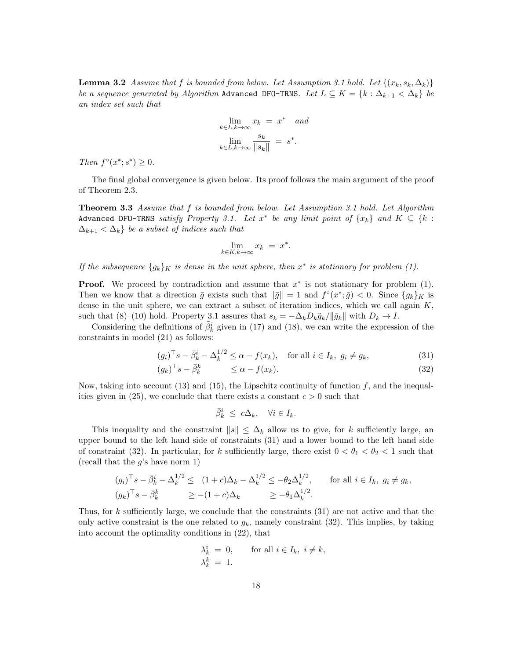**Lemma 3.2** Assume that f is bounded from below. Let Assumption 3.1 hold. Let  $\{(x_k, s_k, \Delta_k)\}$ be a sequence generated by Algorithm Advanced DFO-TRNS. Let  $L \subseteq K = \{k : \Delta_{k+1} < \Delta_k\}$  be an index set such that

$$
\lim_{k \in L, k \to \infty} x_k = x^* \quad and
$$

$$
\lim_{k \in L, k \to \infty} \frac{s_k}{\|s_k\|} = s^*.
$$

Then  $f^{\circ}(x^*; s^*) \geq 0$ .

The final global convergence is given below. Its proof follows the main argument of the proof of Theorem 2.3.

**Theorem 3.3** Assume that f is bounded from below. Let Assumption 3.1 hold. Let Algorithm Advanced DFO-TRNS satisfy Property 3.1. Let  $x^*$  be any limit point of  $\{x_k\}$  and  $K \subseteq \{k :$  $\Delta_{k+1} < \Delta_k$  be a subset of indices such that

$$
\lim_{k \in K, k \to \infty} x_k = x^*.
$$

If the subsequence  $\{g_k\}_K$  is dense in the unit sphere, then  $x^*$  is stationary for problem (1).

**Proof.** We proceed by contradiction and assume that  $x^*$  is not stationary for problem (1). Then we know that a direction  $\bar{g}$  exists such that  $\|\bar{g}\| = 1$  and  $f^{\circ}(x^*; \bar{g}) < 0$ . Since  $\{g_k\}_K$  is dense in the unit sphere, we can extract a subset of iteration indices, which we call again  $K$ , such that (8)–(10) hold. Property 3.1 assures that  $s_k = -\Delta_k D_k \tilde{g}_k / ||\tilde{g}_k||$  with  $D_k \to I$ .

Considering the definitions of  $\tilde{\beta}_k^i$  given in (17) and (18), we can write the expression of the constraints in model (21) as follows:

$$
(g_i)^\top s - \bar{\beta}_k^i - \Delta_k^{1/2} \le \alpha - f(x_k), \quad \text{for all } i \in I_k, \ g_i \ne g_k,
$$
\n
$$
(31)
$$

$$
(g_k)^\top s - \bar{\beta}_k^k \le \alpha - f(x_k). \tag{32}
$$

Now, taking into account  $(13)$  and  $(15)$ , the Lipschitz continuity of function f, and the inequalities given in (25), we conclude that there exists a constant  $c > 0$  such that

$$
\bar{\beta}^i_k \ \le \ c\Delta_k, \quad \forall i \in I_k.
$$

This inequality and the constraint  $||s|| \leq \Delta_k$  allow us to give, for k sufficiently large, an upper bound to the left hand side of constraints (31) and a lower bound to the left hand side of constraint (32). In particular, for k sufficiently large, there exist  $0 < \theta_1 < \theta_2 < 1$  such that (recall that the  $g$ 's have norm 1)

$$
(g_i)^\top s - \overline{\beta}_k^i - \Delta_k^{1/2} \le (1+c)\Delta_k - \Delta_k^{1/2} \le -\theta_2 \Delta_k^{1/2}, \quad \text{for all } i \in I_k, \ g_i \ne g_k,
$$
  

$$
(g_k)^\top s - \overline{\beta}_k^k \ge -(1+c)\Delta_k \ge -\theta_1 \Delta_k^{1/2}.
$$

Thus, for k sufficiently large, we conclude that the constraints  $(31)$  are not active and that the only active constraint is the one related to  $g_k$ , namely constraint (32). This implies, by taking into account the optimality conditions in (22), that

$$
\lambda_k^i = 0, \quad \text{for all } i \in I_k, i \neq k, \lambda_k^k = 1.
$$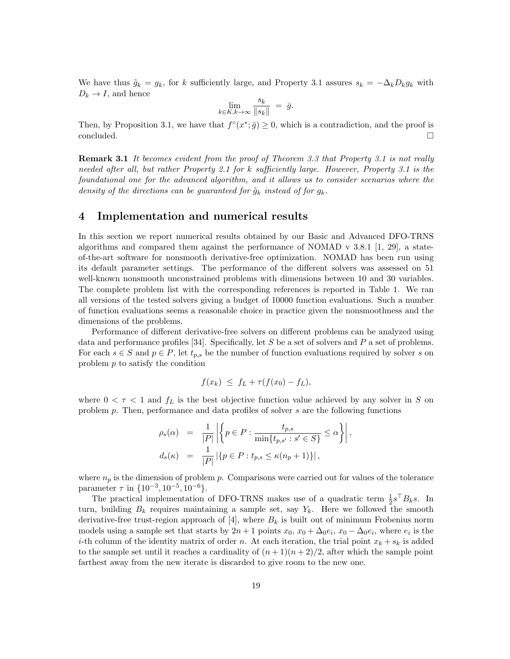We have thus  $\tilde{g}_k = g_k$ , for k sufficiently large, and Property 3.1 assures  $s_k = -\Delta_k D_k g_k$  with  $D_k \to I$ , and hence

$$
\lim_{k \in K, k \to \infty} \frac{s_k}{\|s_k\|} = \bar{g}.
$$

Then, by Proposition 3.1, we have that  $f^{\circ}(x^*; \bar{g}) \ge 0$ , which is a contradiction, and the proof is concluded.  $\Box$ 

**Remark 3.1** It becomes evident from the proof of Theorem 3.3 that Property 3.1 is not really needed after all, but rather Property 2.1 for k sufficiently large. However, Property 3.1 is the foundational one for the advanced algorithm, and it allows us to consider scenarios where the density of the directions can be guaranteed for  $\tilde{g}_k$  instead of for  $g_k$ .

#### 4 Implementation and numerical results

In this section we report numerical results obtained by our Basic and Advanced DFO-TRNS algorithms and compared them against the performance of NOMAD v 3.8.1 [1, 29], a stateof-the-art software for nonsmooth derivative-free optimization. NOMAD has been run using its default parameter settings. The performance of the different solvers was assessed on 51 well-known nonsmooth unconstrained problems with dimensions between 10 and 30 variables. The complete problem list with the corresponding references is reported in Table 1. We ran all versions of the tested solvers giving a budget of 10000 function evaluations. Such a number of function evaluations seems a reasonable choice in practice given the nonsmoothness and the dimensions of the problems.

Performance of different derivative-free solvers on different problems can be analyzed using data and performance profiles [34]. Specifically, let S be a set of solvers and P a set of problems. For each  $s \in S$  and  $p \in P$ , let  $t_{p,s}$  be the number of function evaluations required by solver s on problem p to satisfy the condition

$$
f(x_k) \leq f_L + \tau (f(x_0) - f_L),
$$

where  $0 < \tau < 1$  and  $f_L$  is the best objective function value achieved by any solver in S on problem p. Then, performance and data profiles of solver s are the following functions

$$
\rho_s(\alpha) = \frac{1}{|P|} \left| \left\{ p \in P : \frac{t_{p,s}}{\min\{t_{p,s'} : s' \in S\}} \leq \alpha \right\} \right|,
$$
  

$$
d_s(\kappa) = \frac{1}{|P|} \left| \left\{ p \in P : t_{p,s} \leq \kappa(n_p + 1) \right\} \right|,
$$

where  $n_p$  is the dimension of problem p. Comparisons were carried out for values of the tolerance parameter  $\tau$  in  $\{10^{-3}, 10^{-5}, 10^{-6}\}.$ 

The practical implementation of DFO-TRNS makes use of a quadratic term  $\frac{1}{2}s^{\top}B_ks$ . In turn, building  $B_k$  requires maintaining a sample set, say  $Y_k$ . Here we followed the smooth derivative-free trust-region approach of [4], where  $B_k$  is built out of minimum Frobenius norm models using a sample set that starts by  $2n+1$  points  $x_0$ ,  $x_0 + \Delta_0 e_i$ ,  $x_0 - \Delta_0 e_i$ , where  $e_i$  is the *i*-th column of the identity matrix of order n. At each iteration, the trial point  $x_k + s_k$  is added to the sample set until it reaches a cardinality of  $(n+1)(n+2)/2$ , after which the sample point farthest away from the new iterate is discarded to give room to the new one.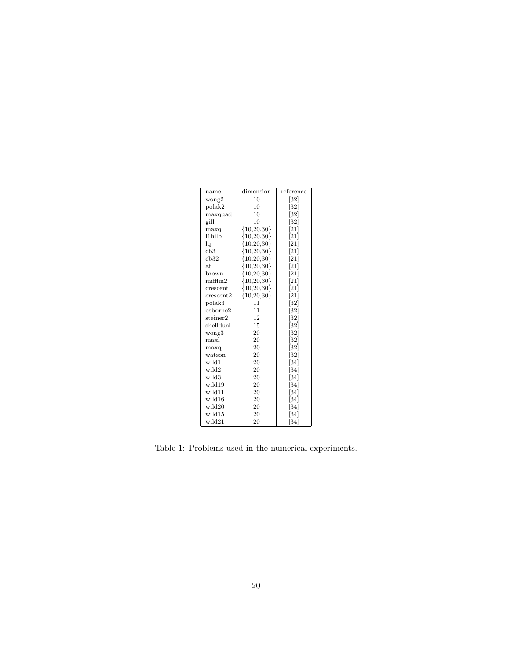| name                 | dimension      | reference                    |
|----------------------|----------------|------------------------------|
| wong2                | 10             | $[32]$                       |
| polak2               | 10             | $\left[ 32\right]$           |
| maxquad              | 10             | [32]                         |
| gill                 | 10             | $\left[32\right]$            |
| maxq                 | ${10,20,30}$   | [21]                         |
| l1hilb               | ${10,20,30}$   | [21]                         |
| lq                   | ${10,20,30}$   | $\left[ 21\right]$           |
| cb3                  | ${10,20,30}$   | $[21]$                       |
| cb32                 | ${10,20,30}$   | $\left\lceil 21\right\rceil$ |
| af                   | ${10, 20, 30}$ | $\left\lceil 21\right\rceil$ |
| brown                | ${10,20,30}$   | [21]                         |
| $m$ ifflin $2$       | ${10, 20, 30}$ | $[21]$                       |
| crescent             | ${10,20,30}$   | $\left[ 21\right]$           |
| $\mathrm{crescent}2$ | ${10,20,30}$   | [21]                         |
| polak3               | 11             | $[32]$                       |
| osborne2             | 11             | $\left[ 32\right]$           |
| steiner2             | 12             | $\left[32\right]$            |
| shelldual            | 15             | $\left[32\right]$            |
| wong3                | 20             | $\left[32\right]$            |
| maxl                 | 20             | $[32]$                       |
| maxql                | 20             | $\left[32\right]$            |
| watson               | 20             | $\left[ 32\right]$           |
| wild1                | 20             | $\left[34\right]$            |
| wild2                | 20             | $[34]$                       |
| wild3                | 20             | $\left[34\right]$            |
| wild19               | 20             | $\left[34\right]$            |
| wild11               | 20             | $\left[34\right]$            |
| wild16               | 20             | $[34]$                       |
| wild20               | 20             | [34]                         |
| wild15               | 20             | [34]                         |
| wild21               | 20             | [34]                         |

Table 1: Problems used in the numerical experiments.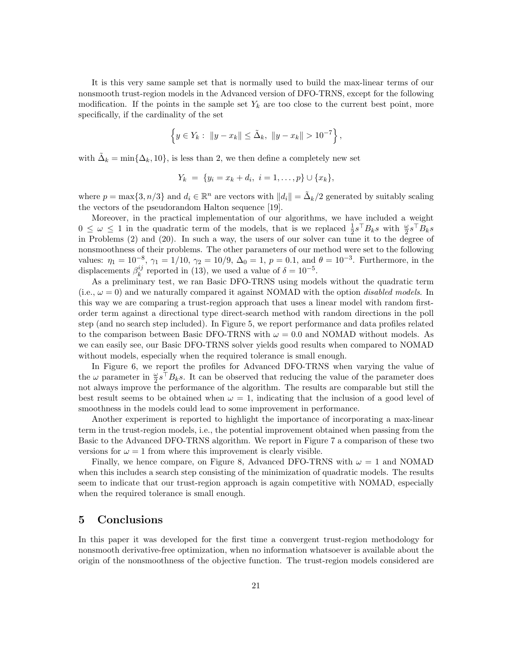It is this very same sample set that is normally used to build the max-linear terms of our nonsmooth trust-region models in the Advanced version of DFO-TRNS, except for the following modification. If the points in the sample set  $Y_k$  are too close to the current best point, more specifically, if the cardinality of the set

$$
\left\{ y \in Y_k : \|y - x_k\| \le \tilde{\Delta}_k, \|y - x_k\| > 10^{-7} \right\},\
$$

with  $\tilde{\Delta}_k = \min\{\Delta_k, 10\}$ , is less than 2, we then define a completely new set

$$
Y_k = \{y_i = x_k + d_i, i = 1, ..., p\} \cup \{x_k\},\
$$

where  $p = \max\{3, n/3\}$  and  $d_i \in \mathbb{R}^n$  are vectors with  $||d_i|| = \tilde{\Delta}_k/2$  generated by suitably scaling the vectors of the pseudorandom Halton sequence [19].

Moreover, in the practical implementation of our algorithms, we have included a weight  $0 \leq \omega \leq 1$  in the quadratic term of the models, that is we replaced  $\frac{1}{2}s^{\top}B_ks$  with  $\frac{\omega}{2}s^{\top}B_ks$ in Problems (2) and (20). In such a way, the users of our solver can tune it to the degree of nonsmoothness of their problems. The other parameters of our method were set to the following values:  $\eta_1 = 10^{-8}$ ,  $\gamma_1 = 1/10$ ,  $\gamma_2 = 10/9$ ,  $\Delta_0 = 1$ ,  $p = 0.1$ , and  $\theta = 10^{-3}$ . Furthermore, in the displacements  $\beta_k^{ij}$  $\frac{ij}{k}$  reported in (13), we used a value of  $\delta = 10^{-5}$ .

As a preliminary test, we ran Basic DFO-TRNS using models without the quadratic term (i.e.,  $\omega = 0$ ) and we naturally compared it against NOMAD with the option *disabled models*. In this way we are comparing a trust-region approach that uses a linear model with random firstorder term against a directional type direct-search method with random directions in the poll step (and no search step included). In Figure 5, we report performance and data profiles related to the comparison between Basic DFO-TRNS with  $\omega = 0.0$  and NOMAD without models. As we can easily see, our Basic DFO-TRNS solver yields good results when compared to NOMAD without models, especially when the required tolerance is small enough.

In Figure 6, we report the profiles for Advanced DFO-TRNS when varying the value of the  $\omega$  parameter in  $\frac{\omega}{2} s^\top B_k s$ . It can be observed that reducing the value of the parameter does not always improve the performance of the algorithm. The results are comparable but still the best result seems to be obtained when  $\omega = 1$ , indicating that the inclusion of a good level of smoothness in the models could lead to some improvement in performance.

Another experiment is reported to highlight the importance of incorporating a max-linear term in the trust-region models, i.e., the potential improvement obtained when passing from the Basic to the Advanced DFO-TRNS algorithm. We report in Figure 7 a comparison of these two versions for  $\omega = 1$  from where this improvement is clearly visible.

Finally, we hence compare, on Figure 8, Advanced DFO-TRNS with  $\omega = 1$  and NOMAD when this includes a search step consisting of the minimization of quadratic models. The results seem to indicate that our trust-region approach is again competitive with NOMAD, especially when the required tolerance is small enough.

#### 5 Conclusions

In this paper it was developed for the first time a convergent trust-region methodology for nonsmooth derivative-free optimization, when no information whatsoever is available about the origin of the nonsmoothness of the objective function. The trust-region models considered are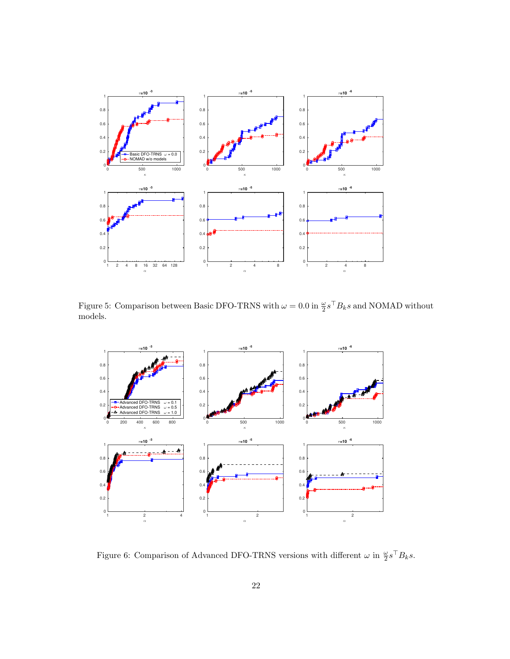

Figure 5: Comparison between Basic DFO-TRNS with  $\omega = 0.0$  in  $\frac{\omega}{2} s^\top B_k s$  and NOMAD without models.



Figure 6: Comparison of Advanced DFO-TRNS versions with different  $\omega$  in  $\frac{\omega}{2} s^\top B_k s$ .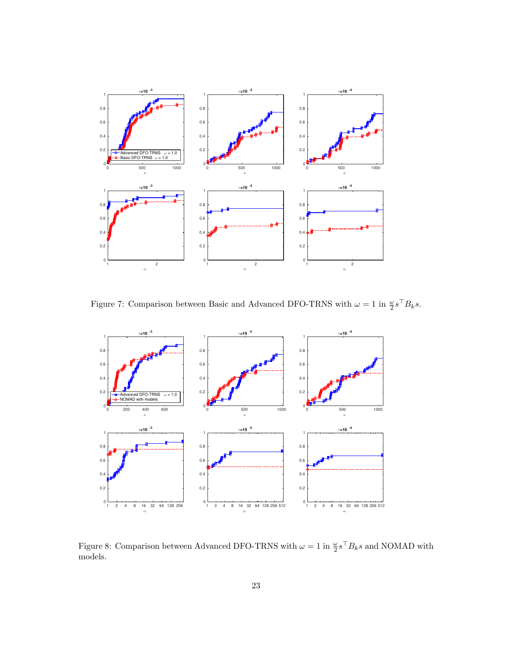

Figure 7: Comparison between Basic and Advanced DFO-TRNS with  $\omega = 1$  in  $\frac{\omega}{2} s^\top B_k s$ .



Figure 8: Comparison between Advanced DFO-TRNS with  $\omega = 1$  in  $\frac{\omega}{2} s^\top B_k s$  and NOMAD with models.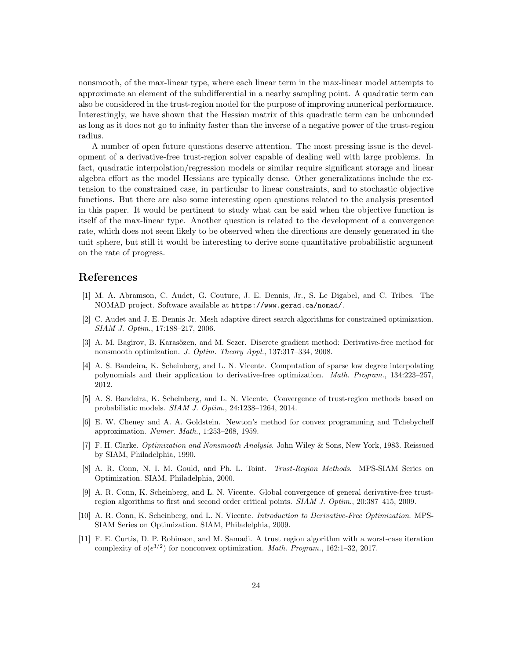nonsmooth, of the max-linear type, where each linear term in the max-linear model attempts to approximate an element of the subdifferential in a nearby sampling point. A quadratic term can also be considered in the trust-region model for the purpose of improving numerical performance. Interestingly, we have shown that the Hessian matrix of this quadratic term can be unbounded as long as it does not go to infinity faster than the inverse of a negative power of the trust-region radius.

A number of open future questions deserve attention. The most pressing issue is the development of a derivative-free trust-region solver capable of dealing well with large problems. In fact, quadratic interpolation/regression models or similar require significant storage and linear algebra effort as the model Hessians are typically dense. Other generalizations include the extension to the constrained case, in particular to linear constraints, and to stochastic objective functions. But there are also some interesting open questions related to the analysis presented in this paper. It would be pertinent to study what can be said when the objective function is itself of the max-linear type. Another question is related to the development of a convergence rate, which does not seem likely to be observed when the directions are densely generated in the unit sphere, but still it would be interesting to derive some quantitative probabilistic argument on the rate of progress.

#### References

- [1] M. A. Abramson, C. Audet, G. Couture, J. E. Dennis, Jr., S. Le Digabel, and C. Tribes. The NOMAD project. Software available at https://www.gerad.ca/nomad/.
- [2] C. Audet and J. E. Dennis Jr. Mesh adaptive direct search algorithms for constrained optimization. SIAM J. Optim., 17:188–217, 2006.
- [3] A. M. Bagirov, B. Karasözen, and M. Sezer. Discrete gradient method: Derivative-free method for nonsmooth optimization. J. Optim. Theory Appl., 137:317–334, 2008.
- [4] A. S. Bandeira, K. Scheinberg, and L. N. Vicente. Computation of sparse low degree interpolating polynomials and their application to derivative-free optimization. Math. Program., 134:223–257, 2012.
- [5] A. S. Bandeira, K. Scheinberg, and L. N. Vicente. Convergence of trust-region methods based on probabilistic models. SIAM J. Optim., 24:1238–1264, 2014.
- [6] E. W. Cheney and A. A. Goldstein. Newton's method for convex programming and Tchebycheff approximation. Numer. Math., 1:253–268, 1959.
- [7] F. H. Clarke. Optimization and Nonsmooth Analysis. John Wiley & Sons, New York, 1983. Reissued by SIAM, Philadelphia, 1990.
- [8] A. R. Conn, N. I. M. Gould, and Ph. L. Toint. *Trust-Region Methods.* MPS-SIAM Series on Optimization. SIAM, Philadelphia, 2000.
- [9] A. R. Conn, K. Scheinberg, and L. N. Vicente. Global convergence of general derivative-free trustregion algorithms to first and second order critical points. SIAM J. Optim., 20:387–415, 2009.
- [10] A. R. Conn, K. Scheinberg, and L. N. Vicente. Introduction to Derivative-Free Optimization. MPS-SIAM Series on Optimization. SIAM, Philadelphia, 2009.
- [11] F. E. Curtis, D. P. Robinson, and M. Samadi. A trust region algorithm with a worst-case iteration complexity of  $o(\epsilon^{3/2})$  for nonconvex optimization. *Math. Program.*, 162:1-32, 2017.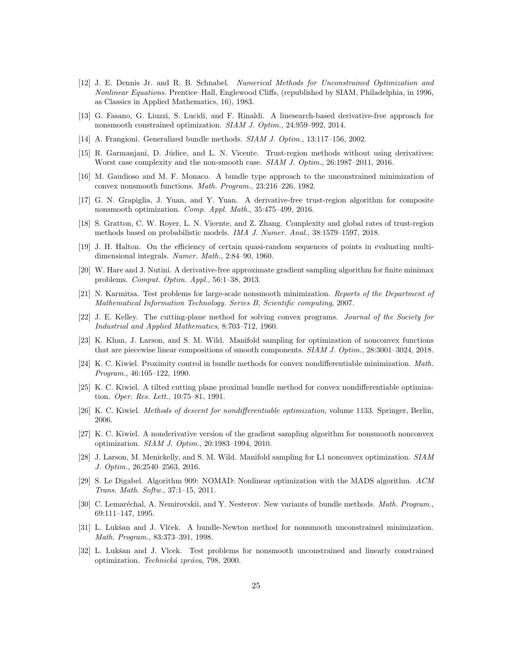- [12] J. E. Dennis Jr. and R. B. Schnabel. Numerical Methods for Unconstrained Optimization and Nonlinear Equations. Prentice–Hall, Englewood Cliffs, (republished by SIAM, Philadelphia, in 1996, as Classics in Applied Mathematics, 16), 1983.
- [13] G. Fasano, G. Liuzzi, S. Lucidi, and F. Rinaldi. A linesearch-based derivative-free approach for nonsmooth constrained optimization. SIAM J. Optim., 24:959–992, 2014.
- [14] A. Frangioni. Generalized bundle methods. SIAM J. Optim., 13:117–156, 2002.
- [15] R. Garmanjani, D. Júdice, and L. N. Vicente. Trust-region methods without using derivatives: Worst case complexity and the non-smooth case. SIAM J. Optim., 26:1987–2011, 2016.
- [16] M. Gaudioso and M. F. Monaco. A bundle type approach to the unconstrained minimization of convex nonsmooth functions. Math. Program., 23:216–226, 1982.
- [17] G. N. Grapiglia, J. Yuan, and Y. Yuan. A derivative-free trust-region algorithm for composite nonsmooth optimization. Comp. Appl. Math., 35:475–499, 2016.
- [18] S. Gratton, C. W. Royer, L. N. Vicente, and Z. Zhang. Complexity and global rates of trust-region methods based on probabilistic models. IMA J. Numer. Anal., 38:1579–1597, 2018.
- [19] J. H. Halton. On the efficiency of certain quasi-random sequences of points in evaluating multidimensional integrals. Numer. Math., 2:84–90, 1960.
- [20] W. Hare and J. Nutini. A derivative-free approximate gradient sampling algorithm for finite minimax problems. Comput. Optim. Appl., 56:1–38, 2013.
- [21] N. Karmitsa. Test problems for large-scale nonsmooth minimization. Reports of the Department of Mathematical Information Technology. Series B, Scientific computing, 2007.
- [22] J. E. Kelley. The cutting-plane method for solving convex programs. Journal of the Society for Industrial and Applied Mathematics, 8:703–712, 1960.
- [23] K. Khan, J. Larson, and S. M. Wild. Manifold sampling for optimization of nonconvex functions that are piecewise linear compositions of smooth components. SIAM J. Optim., 28:3001–3024, 2018.
- [24] K. C. Kiwiel. Proximity control in bundle methods for convex nondifferentiable minimization. Math. Program., 46:105–122, 1990.
- [25] K. C. Kiwiel. A tilted cutting plane proximal bundle method for convex nondifferentiable optimization. Oper. Res. Lett., 10:75–81, 1991.
- [26] K. C. Kiwiel. Methods of descent for nondifferentiable optimization, volume 1133. Springer, Berlin, 2006.
- [27] K. C. Kiwiel. A nonderivative version of the gradient sampling algorithm for nonsmooth nonconvex optimization. SIAM J. Optim., 20:1983–1994, 2010.
- [28] J. Larson, M. Menickelly, and S. M. Wild. Manifold sampling for L1 nonconvex optimization. SIAM J. Optim., 26:2540–2563, 2016.
- [29] S. Le Digabel. Algorithm 909: NOMAD: Nonlinear optimization with the MADS algorithm. ACM Trans. Math. Softw., 37:1–15, 2011.
- [30] C. Lemaréchal, A. Nemirovskii, and Y. Nesterov. New variants of bundle methods. Math. Program., 69:111–147, 1995.
- [31] L. Lukšan and J. Vlček. A bundle-Newton method for nonsmooth unconstrained minimization. Math. Program., 83:373–391, 1998.
- [32] L. Lukšan and J. Vlcek. Test problems for nonsmooth unconstrained and linearly constrained optimization. Technická zpráva, 798, 2000.